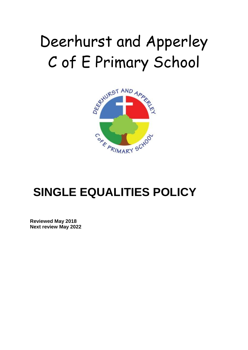# Deerhurst and Apperley C of E Primary School



# **SINGLE EQUALITIES POLICY**

**Reviewed May 2018 Next review May 2022**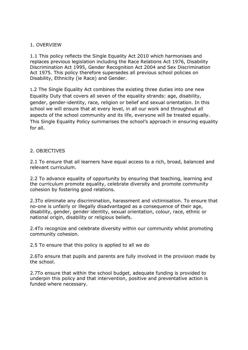## 1. OVERVIEW

1.1 This policy reflects the Single Equality Act 2010 which harmonises and replaces previous legislation including the Race Relations Act 1976, Disability Discrimination Act 1995, Gender Recognition Act 2004 and Sex Discrimination Act 1975. This policy therefore supersedes all previous school policies on Disability, Ethnicity (ie Race) and Gender.

1.2 The Single Equality Act combines the existing three duties into one new Equality Duty that covers all seven of the equality strands: age, disability, gender, gender-identity, race, religion or belief and sexual orientation. In this school we will ensure that at every level, in all our work and throughout all aspects of the school community and its life, everyone will be treated equally. This Single Equality Policy summarises the school's approach in ensuring equality for all.

# 2. OBJECTIVES

2.1 To ensure that all learners have equal access to a rich, broad, balanced and relevant curriculum.

2.2 To advance equality of opportunity by ensuring that teaching, learning and the curriculum promote equality, celebrate diversity and promote community cohesion by fostering good relations.

2.3To eliminate any discrimination, harassment and victimisation. To ensure that no-one is unfairly or illegally disadvantaged as a consequence of their age, disability, gender, gender identity, sexual orientation, colour, race, ethnic or national origin, disability or religious beliefs.

2.4To recognize and celebrate diversity within our community whilst promoting community cohesion.

2.5 To ensure that this policy is applied to all we do

2.6To ensure that pupils and parents are fully involved in the provision made by the school.

2.7To ensure that within the school budget, adequate funding is provided to underpin this policy and that intervention, positive and preventative action is funded where necessary.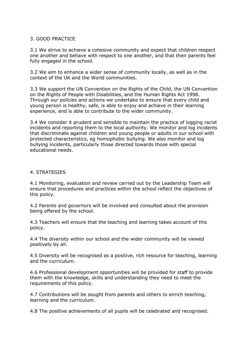# 3. GOOD PRACTICE

3.1 We strive to achieve a cohesive community and expect that children respect one another and behave with respect to one another, and that their parents feel fully engaged in the school.

3.2 We aim to enhance a wider sense of community locally, as well as in the context of the UK and the World communities.

3.3 We support the UN Convention on the Rights of the Child, the UN Convention on the Rights of People with Disabilities, and the Human Rights Act 1998. Through our policies and actions we undertake to ensure that every child and young person is healthy, safe, is able to enjoy and achieve in their learning experience, and is able to contribute to the wider community.

3.4 We consider it prudent and sensible to maintain the practice of logging racist incidents and reporting them to the local authority. We monitor and log incidents that discriminate against children and young people or adults in our school with protected characteristics, eg homophobic bullying. We also monitor and log bullying incidents, particularly those directed towards those with special educational needs.

#### 4. STRATEGIES

4.1 Monitoring, evaluation and review carried out by the Leadership Team will ensure that procedures and practices within the school reflect the objectives of this policy.

4.2 Parents and governors will be involved and consulted about the provision being offered by the school.

4.3 Teachers will ensure that the teaching and learning takes account of this policy.

4.4 The diversity within our school and the wider community will be viewed positively by all.

4.5 Diversity will be recognised as a positive, rich resource for teaching, learning and the curriculum.

4.6 Professional development opportunities will be provided for staff to provide them with the knowledge, skills and understanding they need to meet the requirements of this policy.

4.7 Contributions will be sought from parents and others to enrich teaching, learning and the curriculum.

4.8 The positive achievements of all pupils will be celebrated and recognised.